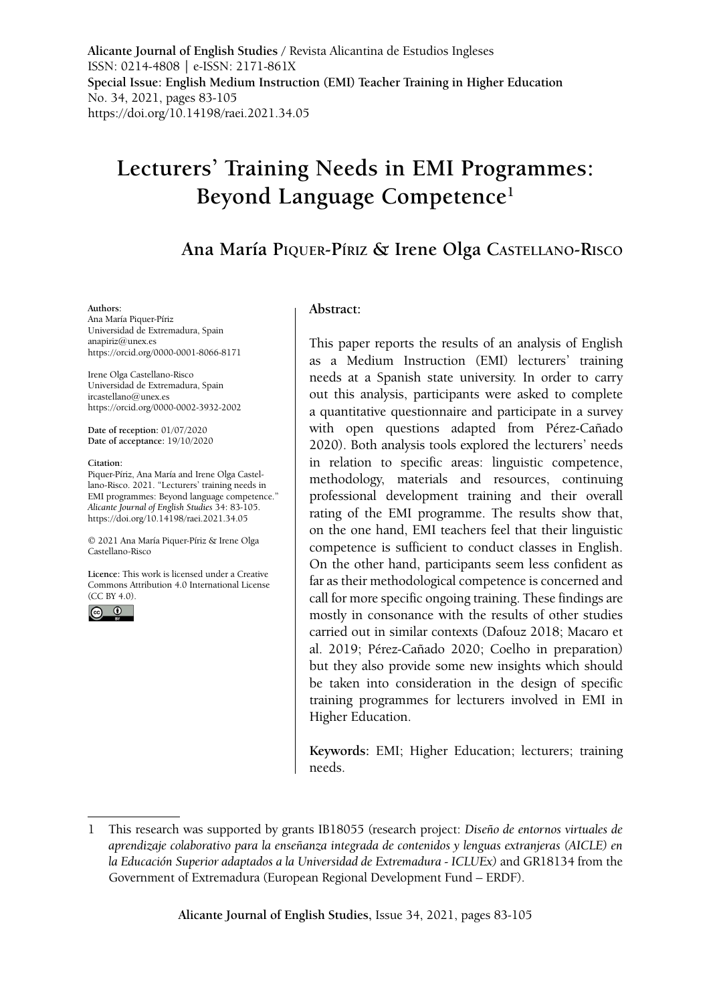**Alicante Journal of English Studies /** Revista Alicantina de Estudios Ingleses ISSN: 0214-4808 | e-ISSN: 2171-861X **Special Issue: English Medium Instruction (EMI) Teacher Training in Higher Education** No. 34, 2021, pages 83-105 https://doi.org/10.14198/raei.2021.34.05

# **Lecturers' Training Needs in EMI Programmes: Beyond Language Competence1**

# **Ana María Piquer-Píriz & Irene Olga Castellano-Risco**

#### **Authors:**

Ana María Piquer-Píriz Universidad de Extremadura, Spain anapiriz@unex.es <https://orcid.org/0000-0001-8066-8171>

Irene Olga Castellano-Risco Universidad de Extremadura, Spain ircastellano@unex.es <https://orcid.org/0000-0002-3932-2002>

**Date of reception:** 01/07/2020 **Date of acceptance:** 19/10/2020

#### **Citation:**

Piquer-Píriz, Ana María and Irene Olga Castellano-Risco. 2021. "Lecturers' training needs in EMI programmes: Beyond language competence." *Alicante Journal of English Studies* 34: 83-105. https://doi.org/10.14198/raei.2021.34.05

© 2021 Ana María Piquer-Píriz & Irene Olga Castellano-Risco

**Licence:** [This work is licensed under a Creative](https://creativecommons.org/licenses/by/4.0/)  [Commons Attribution 4.0 International License](https://creativecommons.org/licenses/by/4.0/)   $(CC$  BY 4.0).



#### **Abstract:**

This paper reports the results of an analysis of English as a Medium Instruction (EMI) lecturers' training needs at a Spanish state university. In order to carry out this analysis, participants were asked to complete a quantitative questionnaire and participate in a survey with open questions adapted from Pérez-Cañado 2020). Both analysis tools explored the lecturers' needs in relation to specific areas: linguistic competence, methodology, materials and resources, continuing professional development training and their overall rating of the EMI programme. The results show that, on the one hand, EMI teachers feel that their linguistic competence is sufficient to conduct classes in English. On the other hand, participants seem less confident as far as their methodological competence is concerned and call for more specific ongoing training. These findings are mostly in consonance with the results of other studies carried out in similar contexts (Dafouz 2018; Macaro et al. 2019; Pérez-Cañado 2020; Coelho in preparation) but they also provide some new insights which should be taken into consideration in the design of specific training programmes for lecturers involved in EMI in Higher Education.

**Keywords:** EMI; Higher Education; lecturers; training needs.

<sup>1</sup> This research was supported by grants IB18055 (research project: *Diseño de entornos virtuales de aprendizaje colaborativo para la enseñanza integrada de contenidos y lenguas extranjeras (AICLE) en la Educación Superior adaptados a la Universidad de Extremadura - ICLUEx)* and GR18134 from the Government of Extremadura (European Regional Development Fund – ERDF).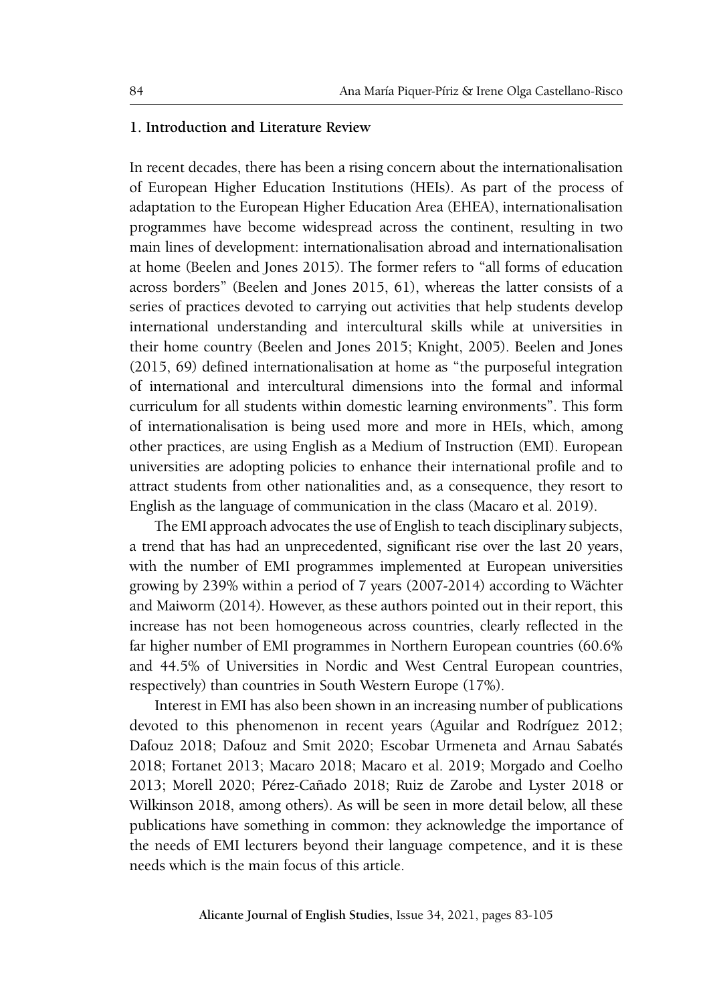#### **1. Introduction and Literature Review**

In recent decades, there has been a rising concern about the internationalisation of European Higher Education Institutions (HEIs). As part of the process of adaptation to the European Higher Education Area (EHEA), internationalisation programmes have become widespread across the continent, resulting in two main lines of development: internationalisation abroad and internationalisation at home (Beelen and Jones 2015). The former refers to "all forms of education across borders" (Beelen and Jones 2015, 61), whereas the latter consists of a series of practices devoted to carrying out activities that help students develop international understanding and intercultural skills while at universities in their home country (Beelen and Jones 2015; Knight, 2005). Beelen and Jones (2015, 69) defined internationalisation at home as "the purposeful integration of international and intercultural dimensions into the formal and informal curriculum for all students within domestic learning environments". This form of internationalisation is being used more and more in HEIs, which, among other practices, are using English as a Medium of Instruction (EMI). European universities are adopting policies to enhance their international profile and to attract students from other nationalities and, as a consequence, they resort to English as the language of communication in the class (Macaro et al. 2019).

The EMI approach advocates the use of English to teach disciplinary subjects, a trend that has had an unprecedented, significant rise over the last 20 years, with the number of EMI programmes implemented at European universities growing by 239% within a period of 7 years (2007-2014) according to Wächter and Maiworm (2014). However, as these authors pointed out in their report, this increase has not been homogeneous across countries, clearly reflected in the far higher number of EMI programmes in Northern European countries (60.6% and 44.5% of Universities in Nordic and West Central European countries, respectively) than countries in South Western Europe (17%).

Interest in EMI has also been shown in an increasing number of publications devoted to this phenomenon in recent years (Aguilar and Rodríguez 2012; Dafouz 2018; Dafouz and Smit 2020; Escobar Urmeneta and Arnau Sabatés 2018; Fortanet 2013; Macaro 2018; Macaro et al. 2019; Morgado and Coelho 2013; Morell 2020; Pérez-Cañado 2018; Ruiz de Zarobe and Lyster 2018 or Wilkinson 2018, among others). As will be seen in more detail below, all these publications have something in common: they acknowledge the importance of the needs of EMI lecturers beyond their language competence, and it is these needs which is the main focus of this article.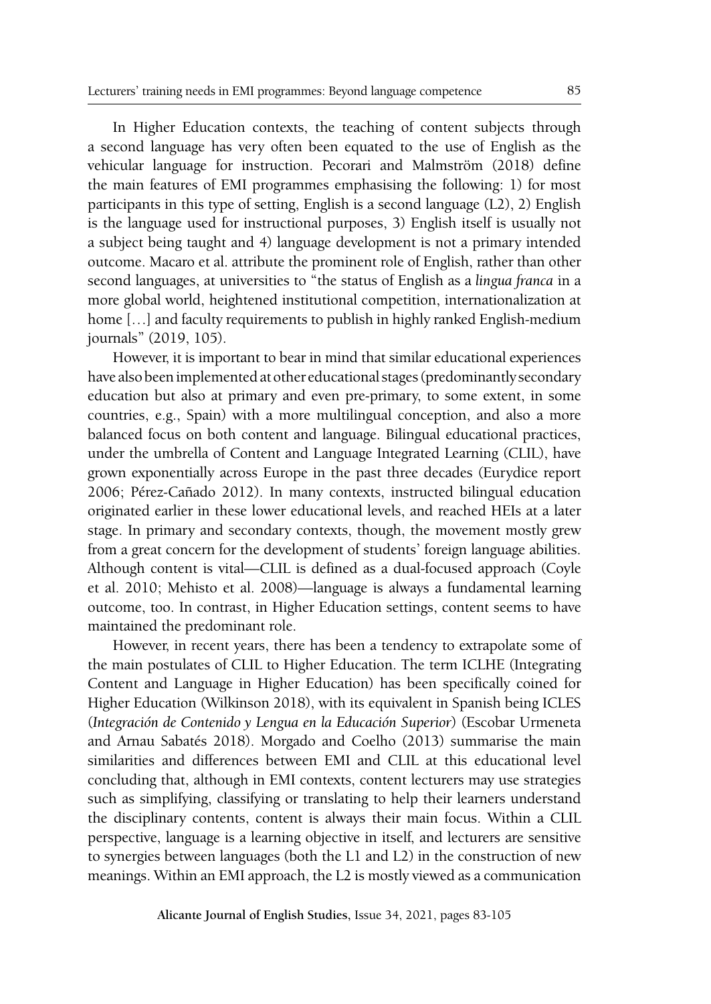In Higher Education contexts, the teaching of content subjects through a second language has very often been equated to the use of English as the vehicular language for instruction. Pecorari and Malmström (2018) define the main features of EMI programmes emphasising the following: 1) for most participants in this type of setting, English is a second language (L2), 2) English is the language used for instructional purposes, 3) English itself is usually not a subject being taught and 4) language development is not a primary intended outcome. Macaro et al. attribute the prominent role of English, rather than other second languages, at universities to "the status of English as a *lingua franca* in a more global world, heightened institutional competition, internationalization at home [...] and faculty requirements to publish in highly ranked English-medium journals" (2019, 105).

However, it is important to bear in mind that similar educational experiences have also been implemented at other educational stages (predominantly secondary education but also at primary and even pre-primary, to some extent, in some countries, e.g., Spain) with a more multilingual conception, and also a more balanced focus on both content and language. Bilingual educational practices, under the umbrella of Content and Language Integrated Learning (CLIL), have grown exponentially across Europe in the past three decades (Eurydice report 2006; Pérez-Cañado 2012). In many contexts, instructed bilingual education originated earlier in these lower educational levels, and reached HEIs at a later stage. In primary and secondary contexts, though, the movement mostly grew from a great concern for the development of students' foreign language abilities. Although content is vital—CLIL is defined as a dual-focused approach (Coyle et al. 2010; Mehisto et al. 2008)—language is always a fundamental learning outcome, too. In contrast, in Higher Education settings, content seems to have maintained the predominant role.

However, in recent years, there has been a tendency to extrapolate some of the main postulates of CLIL to Higher Education. The term ICLHE (Integrating Content and Language in Higher Education) has been specifically coined for Higher Education (Wilkinson 2018), with its equivalent in Spanish being ICLES (*Integración de Contenido y Lengua en la Educación Superior*) (Escobar Urmeneta and Arnau Sabatés 2018). Morgado and Coelho (2013) summarise the main similarities and differences between EMI and CLIL at this educational level concluding that, although in EMI contexts, content lecturers may use strategies such as simplifying, classifying or translating to help their learners understand the disciplinary contents, content is always their main focus. Within a CLIL perspective, language is a learning objective in itself, and lecturers are sensitive to synergies between languages (both the L1 and L2) in the construction of new meanings. Within an EMI approach, the L2 is mostly viewed as a communication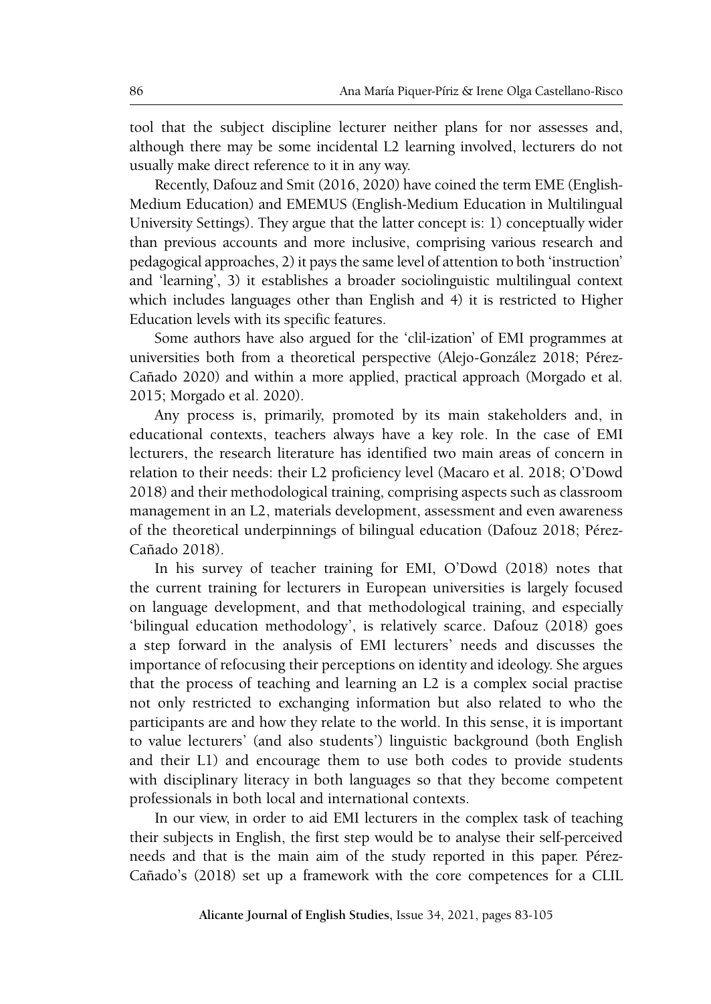tool that the subject discipline lecturer neither plans for nor assesses and, although there may be some incidental L2 learning involved, lecturers do not usually make direct reference to it in any way.

Recently, Dafouz and Smit (2016, 2020) have coined the term EME (English-Medium Education) and EMEMUS (English-Medium Education in Multilingual University Settings). They argue that the latter concept is: 1) conceptually wider than previous accounts and more inclusive, comprising various research and pedagogical approaches, 2) it pays the same level of attention to both 'instruction' and 'learning', 3) it establishes a broader sociolinguistic multilingual context which includes languages other than English and 4) it is restricted to Higher Education levels with its specific features.

Some authors have also argued for the 'clil-ization' of EMI programmes at universities both from a theoretical perspective (Alejo-González 2018; Pérez-Cañado 2020) and within a more applied, practical approach (Morgado et al. 2015; Morgado et al. 2020).

Any process is, primarily, promoted by its main stakeholders and, in educational contexts, teachers always have a key role. In the case of EMI lecturers, the research literature has identified two main areas of concern in relation to their needs: their L2 proficiency level (Macaro et al. 2018; O'Dowd 2018) and their methodological training, comprising aspects such as classroom management in an L2, materials development, assessment and even awareness of the theoretical underpinnings of bilingual education (Dafouz 2018; Pérez-Cañado 2018).

In his survey of teacher training for EMI, O'Dowd (2018) notes that the current training for lecturers in European universities is largely focused on language development, and that methodological training, and especially 'bilingual education methodology', is relatively scarce. Dafouz (2018) goes a step forward in the analysis of EMI lecturers' needs and discusses the importance of refocusing their perceptions on identity and ideology. She argues that the process of teaching and learning an L2 is a complex social practise not only restricted to exchanging information but also related to who the participants are and how they relate to the world. In this sense, it is important to value lecturers' (and also students') linguistic background (both English and their L1) and encourage them to use both codes to provide students with disciplinary literacy in both languages so that they become competent professionals in both local and international contexts.

In our view, in order to aid EMI lecturers in the complex task of teaching their subjects in English, the first step would be to analyse their self-perceived needs and that is the main aim of the study reported in this paper. Pérez-Cañado's (2018) set up a framework with the core competences for a CLIL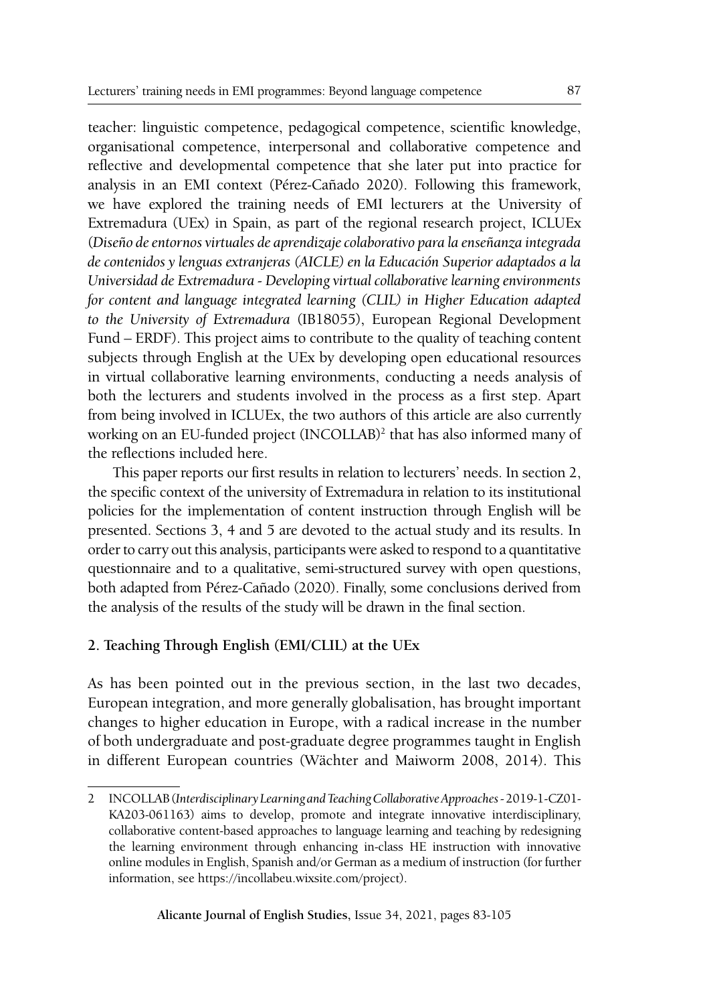teacher: linguistic competence, pedagogical competence, scientific knowledge, organisational competence, interpersonal and collaborative competence and reflective and developmental competence that she later put into practice for analysis in an EMI context (Pérez-Cañado 2020). Following this framework, we have explored the training needs of EMI lecturers at the University of Extremadura (UEx) in Spain, as part of the regional research project, ICLUEx (*Diseño de entornos virtuales de aprendizaje colaborativo para la enseñanza integrada de contenidos y lenguas extranjeras (AICLE) en la Educación Superior adaptados a la Universidad de Extremadura - Developing virtual collaborative learning environments for content and language integrated learning (CLIL) in Higher Education adapted to the University of Extremadura* (IB18055), European Regional Development Fund – ERDF). This project aims to contribute to the quality of teaching content subjects through English at the UEx by developing open educational resources in virtual collaborative learning environments, conducting a needs analysis of both the lecturers and students involved in the process as a first step. Apart from being involved in ICLUEx, the two authors of this article are also currently working on an EU-funded project (INCOLLAB)<sup>2</sup> that has also informed many of the reflections included here.

This paper reports our first results in relation to lecturers' needs. In section 2, the specific context of the university of Extremadura in relation to its institutional policies for the implementation of content instruction through English will be presented. Sections 3, 4 and 5 are devoted to the actual study and its results. In order to carry out this analysis, participants were asked to respond to a quantitative questionnaire and to a qualitative, semi-structured survey with open questions, both adapted from Pérez-Cañado (2020). Finally, some conclusions derived from the analysis of the results of the study will be drawn in the final section.

## **2. Teaching Through English (EMI/CLIL) at the UEx**

As has been pointed out in the previous section, in the last two decades, European integration, and more generally globalisation, has brought important changes to higher education in Europe, with a radical increase in the number of both undergraduate and post-graduate degree programmes taught in English in different European countries (Wächter and Maiworm 2008, 2014). This

<sup>2</sup> INCOLLAB (*Interdisciplinary Learning and Teaching Collaborative Approaches* - 2019-1-CZ01- KA203-061163) aims to develop, promote and integrate innovative interdisciplinary, collaborative content-based approaches to language learning and teaching by redesigning the learning environment through enhancing in-class HE instruction with innovative online modules in English, Spanish and/or German as a medium of instruction (for further information, see https://incollabeu.wixsite.com/project).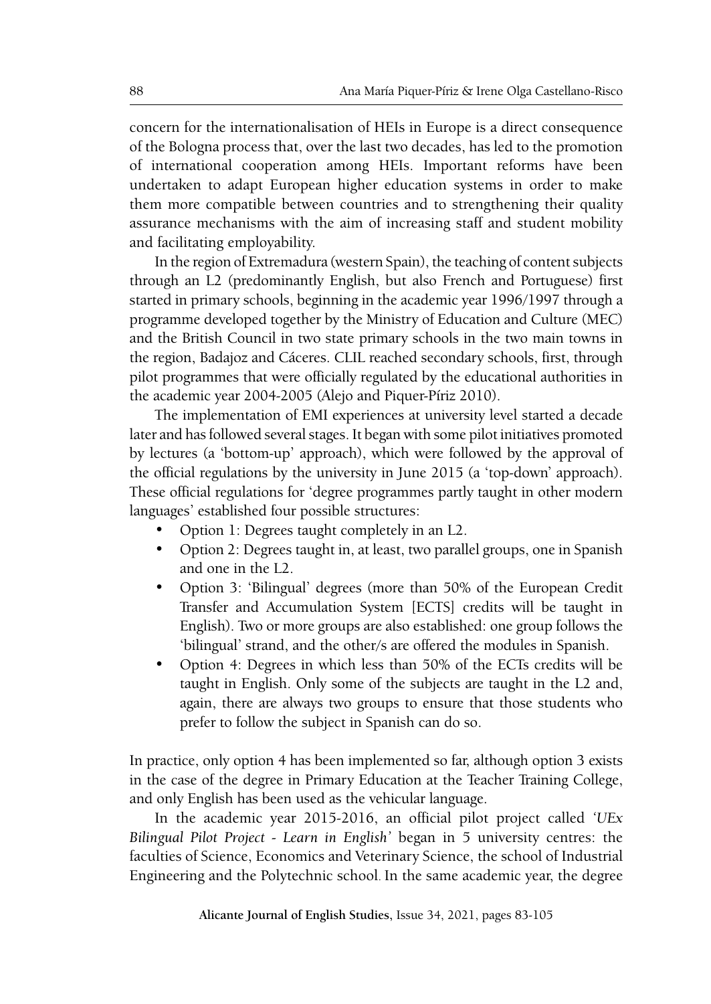concern for the internationalisation of HEIs in Europe is a direct consequence of the Bologna process that, over the last two decades, has led to the promotion of international cooperation among HEIs. Important reforms have been undertaken to adapt European higher education systems in order to make them more compatible between countries and to strengthening their quality assurance mechanisms with the aim of increasing staff and student mobility and facilitating employability.

In the region of Extremadura (western Spain), the teaching of content subjects through an L2 (predominantly English, but also French and Portuguese) first started in primary schools, beginning in the academic year 1996/1997 through a programme developed together by the Ministry of Education and Culture (MEC) and the British Council in two state primary schools in the two main towns in the region, Badajoz and Cáceres. CLIL reached secondary schools, first, through pilot programmes that were officially regulated by the educational authorities in the academic year 2004-2005 (Alejo and Piquer-Píriz 2010).

The implementation of EMI experiences at university level started a decade later and has followed several stages. It began with some pilot initiatives promoted by lectures (a 'bottom-up' approach), which were followed by the approval of the official regulations by the university in June 2015 (a 'top-down' approach). These official regulations for 'degree programmes partly taught in other modern languages' established four possible structures:

- Option 1: Degrees taught completely in an L2.
- Option 2: Degrees taught in, at least, two parallel groups, one in Spanish and one in the L2.
- Option 3: 'Bilingual' degrees (more than 50% of the European Credit Transfer and Accumulation System [ECTS] credits will be taught in English). Two or more groups are also established: one group follows the 'bilingual' strand, and the other/s are offered the modules in Spanish.
- Option 4: Degrees in which less than 50% of the ECTs credits will be taught in English. Only some of the subjects are taught in the L2 and, again, there are always two groups to ensure that those students who prefer to follow the subject in Spanish can do so.

In practice, only option 4 has been implemented so far, although option 3 exists in the case of the degree in Primary Education at the Teacher Training College, and only English has been used as the vehicular language.

In the academic year 2015-2016, an official pilot project called *'UEx Bilingual Pilot Project - Learn in English'* began in 5 university centres: the faculties of Science, Economics and Veterinary Science, the school of Industrial Engineering and the Polytechnic school. In the same academic year, the degree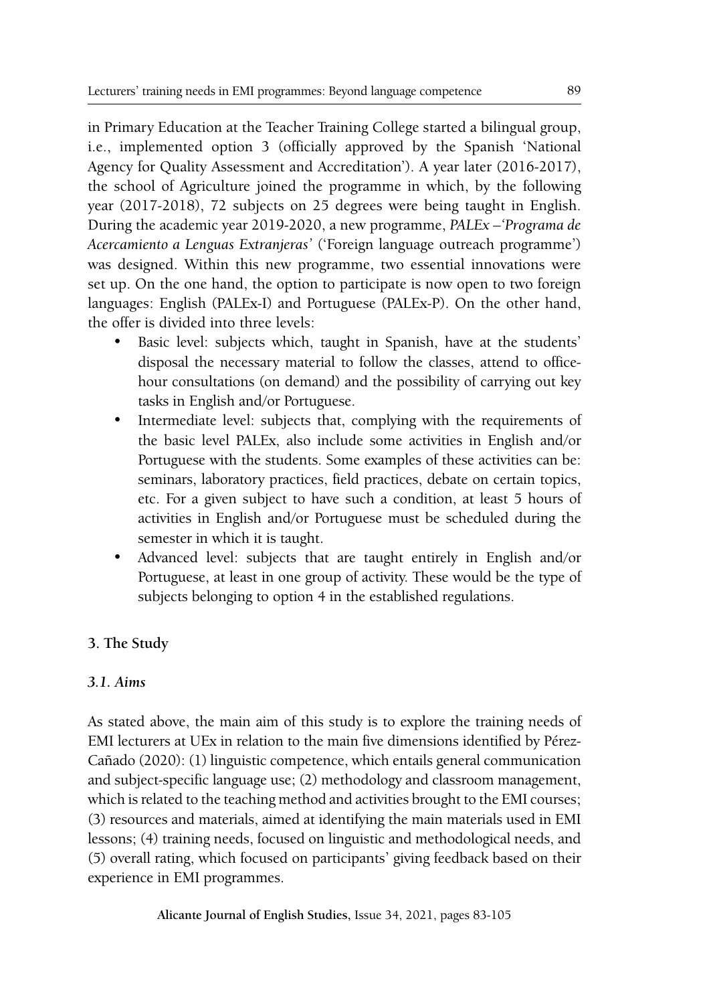in Primary Education at the Teacher Training College started a bilingual group, i.e., implemented option 3 (officially approved by the Spanish 'National Agency for Quality Assessment and Accreditation'). A year later (2016-2017), the school of Agriculture joined the programme in which, by the following year (2017-2018), 72 subjects on 25 degrees were being taught in English. During the academic year 2019-2020, a new programme, *PALEx –'Programa de Acercamiento a Lenguas Extranjeras'* ('Foreign language outreach programme') was designed. Within this new programme, two essential innovations were set up. On the one hand, the option to participate is now open to two foreign languages: English (PALEx-I) and Portuguese (PALEx-P). On the other hand, the offer is divided into three levels:

- Basic level: subjects which, taught in Spanish, have at the students' disposal the necessary material to follow the classes, attend to officehour consultations (on demand) and the possibility of carrying out key tasks in English and/or Portuguese.
- Intermediate level: subjects that, complying with the requirements of the basic level PALEx, also include some activities in English and/or Portuguese with the students. Some examples of these activities can be: seminars, laboratory practices, field practices, debate on certain topics, etc. For a given subject to have such a condition, at least 5 hours of activities in English and/or Portuguese must be scheduled during the semester in which it is taught.
- Advanced level: subjects that are taught entirely in English and/or Portuguese, at least in one group of activity. These would be the type of subjects belonging to option 4 in the established regulations.

# **3. The Study**

## *3.1. Aims*

As stated above, the main aim of this study is to explore the training needs of EMI lecturers at UEx in relation to the main five dimensions identified by Pérez-Cañado (2020): (1) linguistic competence, which entails general communication and subject-specific language use; (2) methodology and classroom management, which is related to the teaching method and activities brought to the EMI courses; (3) resources and materials, aimed at identifying the main materials used in EMI lessons; (4) training needs, focused on linguistic and methodological needs, and (5) overall rating, which focused on participants' giving feedback based on their experience in EMI programmes.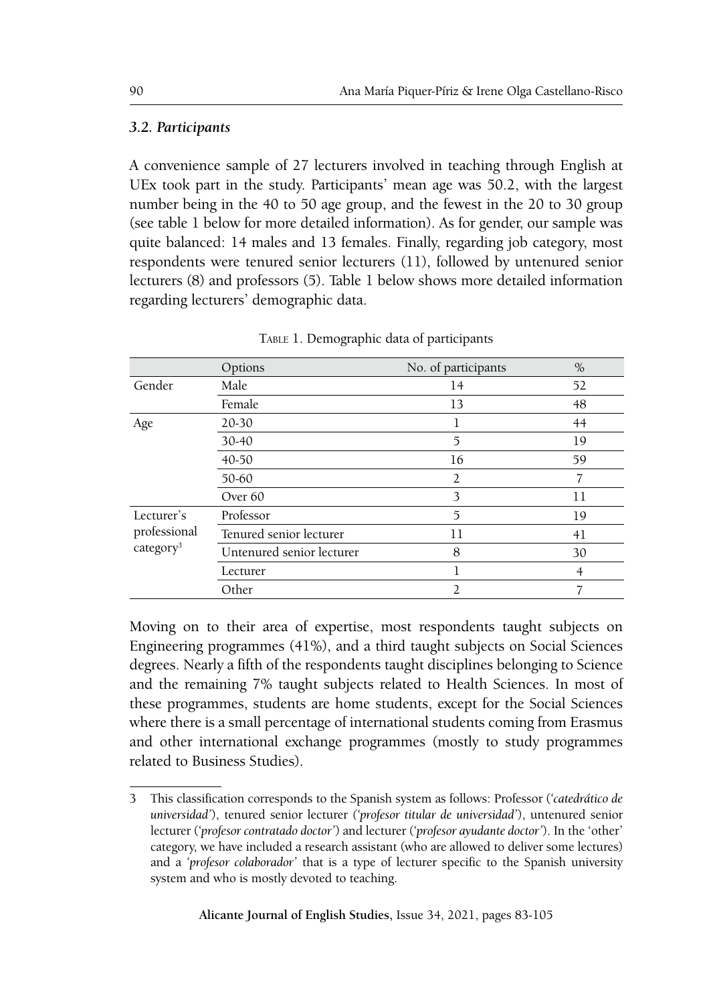## *3.2. Participants*

A convenience sample of 27 lecturers involved in teaching through English at UEx took part in the study. Participants' mean age was 50.2, with the largest number being in the 40 to 50 age group, and the fewest in the 20 to 30 group (see table 1 below for more detailed information). As for gender, our sample was quite balanced: 14 males and 13 females. Finally, regarding job category, most respondents were tenured senior lecturers (11), followed by untenured senior lecturers (8) and professors (5). Table 1 below shows more detailed information regarding lecturers' demographic data.

|                                       | Options                   | No. of participants | $\%$ |
|---------------------------------------|---------------------------|---------------------|------|
| Gender                                | Male                      | 14                  | 52   |
|                                       | Female                    | 13                  | 48   |
| Age                                   | 20-30                     |                     | 44   |
|                                       | 30-40                     | 5                   | 19   |
|                                       | 40-50                     | 16                  | 59   |
|                                       | 50-60                     | $\overline{2}$      | 7    |
|                                       | Over <sub>60</sub>        | 3                   | 11   |
| Lecturer's                            | Professor                 | 5                   | 19   |
| professional<br>category <sup>3</sup> | Tenured senior lecturer   | 11                  | 41   |
|                                       | Untenured senior lecturer | 8                   | 30   |
|                                       | Lecturer                  |                     | 4    |
|                                       | Other                     | $\overline{2}$      |      |

Table 1. Demographic data of participants

Moving on to their area of expertise, most respondents taught subjects on Engineering programmes (41%), and a third taught subjects on Social Sciences degrees. Nearly a fifth of the respondents taught disciplines belonging to Science and the remaining 7% taught subjects related to Health Sciences. In most of these programmes, students are home students, except for the Social Sciences where there is a small percentage of international students coming from Erasmus and other international exchange programmes (mostly to study programmes related to Business Studies).

<sup>3</sup> This classification corresponds to the Spanish system as follows: Professor (*'catedrático de universidad'*), tenured senior lecturer *('profesor titular de universidad'*), untenured senior lecturer (*'profesor contratado doctor'*) and lecturer (*'profesor ayudante doctor'*). In the 'other' category, we have included a research assistant (who are allowed to deliver some lectures) and a *'profesor colaborador'* that is a type of lecturer specific to the Spanish university system and who is mostly devoted to teaching.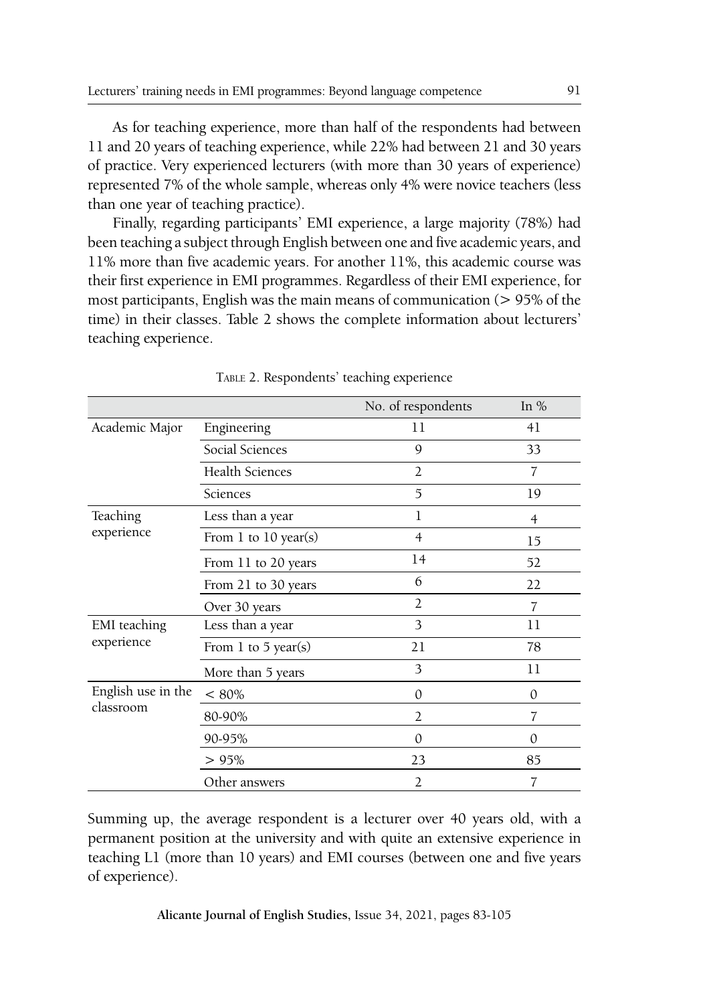As for teaching experience, more than half of the respondents had between 11 and 20 years of teaching experience, while 22% had between 21 and 30 years of practice. Very experienced lecturers (with more than 30 years of experience) represented 7% of the whole sample, whereas only 4% were novice teachers (less than one year of teaching practice).

Finally, regarding participants' EMI experience, a large majority (78%) had been teaching a subject through English between one and five academic years, and 11% more than five academic years. For another 11%, this academic course was their first experience in EMI programmes. Regardless of their EMI experience, for most participants, English was the main means of communication (> 95% of the time) in their classes. Table 2 shows the complete information about lecturers' teaching experience.

|                                 |                        | No. of respondents | In $%$   |
|---------------------------------|------------------------|--------------------|----------|
| Academic Major                  | Engineering            | 11                 | 41       |
|                                 | Social Sciences        | 9                  | 33       |
|                                 | <b>Health Sciences</b> | 2                  | 7        |
|                                 | Sciences               | 5                  | 19       |
| Teaching                        | Less than a year       | 1                  | 4        |
| experience                      | From 1 to 10 year(s)   | $\overline{4}$     | 15       |
|                                 | From 11 to 20 years    | 14                 | 52       |
|                                 | From 21 to 30 years    | 6                  | 22       |
|                                 | Over 30 years          | $\overline{2}$     | 7        |
| <b>EMI</b> teaching             | Less than a year       | 3                  | 11       |
| experience                      | From 1 to 5 year(s)    | 21                 | 78       |
|                                 | More than 5 years      | 3                  | 11       |
| English use in the<br>classroom | $< 80\%$               | 0                  | $\theta$ |
|                                 | 80-90%                 | $\overline{2}$     | 7        |
|                                 | 90-95%                 | 0                  | $\Omega$ |
|                                 | > 95%                  | 23                 | 85       |
|                                 | Other answers          | $\overline{2}$     | 7        |

Table 2. Respondents' teaching experience

Summing up, the average respondent is a lecturer over 40 years old, with a permanent position at the university and with quite an extensive experience in teaching L1 (more than 10 years) and EMI courses (between one and five years of experience).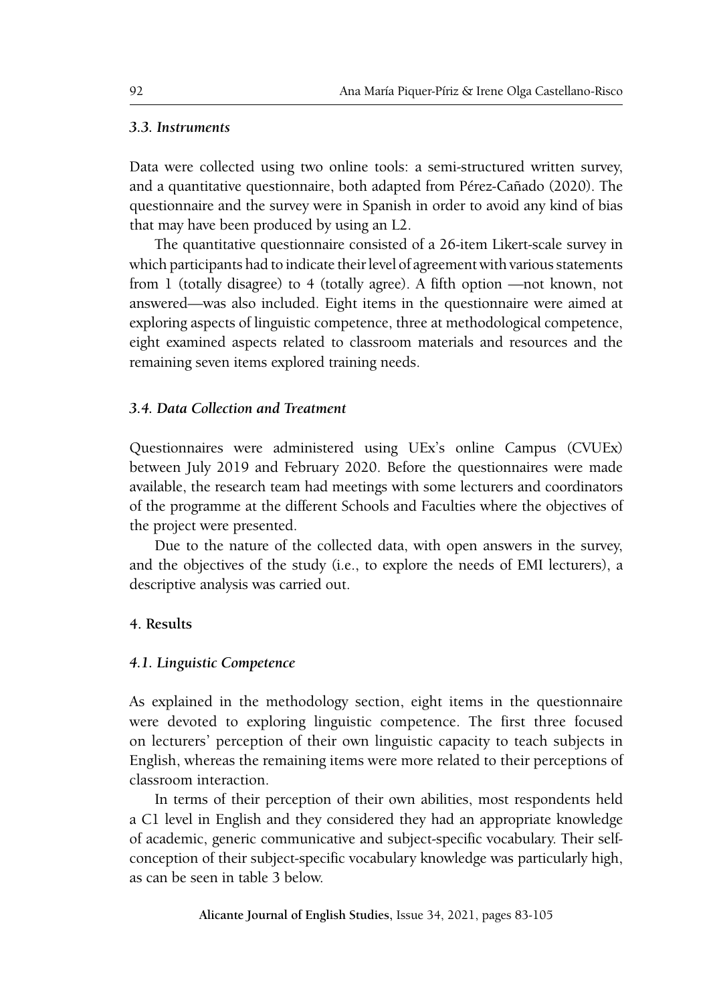#### *3.3. Instruments*

Data were collected using two online tools: a semi-structured written survey, and a quantitative questionnaire, both adapted from Pérez-Cañado (2020). The questionnaire and the survey were in Spanish in order to avoid any kind of bias that may have been produced by using an L2.

The quantitative questionnaire consisted of a 26-item Likert-scale survey in which participants had to indicate their level of agreement with various statements from 1 (totally disagree) to 4 (totally agree). A fifth option —not known, not answered—was also included. Eight items in the questionnaire were aimed at exploring aspects of linguistic competence, three at methodological competence, eight examined aspects related to classroom materials and resources and the remaining seven items explored training needs.

#### *3.4. Data Collection and Treatment*

Questionnaires were administered using UEx's online Campus (CVUEx) between July 2019 and February 2020. Before the questionnaires were made available, the research team had meetings with some lecturers and coordinators of the programme at the different Schools and Faculties where the objectives of the project were presented.

Due to the nature of the collected data, with open answers in the survey, and the objectives of the study (i.e., to explore the needs of EMI lecturers), a descriptive analysis was carried out.

#### **4. Results**

#### *4.1. Linguistic Competence*

As explained in the methodology section, eight items in the questionnaire were devoted to exploring linguistic competence. The first three focused on lecturers' perception of their own linguistic capacity to teach subjects in English, whereas the remaining items were more related to their perceptions of classroom interaction.

In terms of their perception of their own abilities, most respondents held a C1 level in English and they considered they had an appropriate knowledge of academic, generic communicative and subject-specific vocabulary. Their selfconception of their subject-specific vocabulary knowledge was particularly high, as can be seen in table 3 below.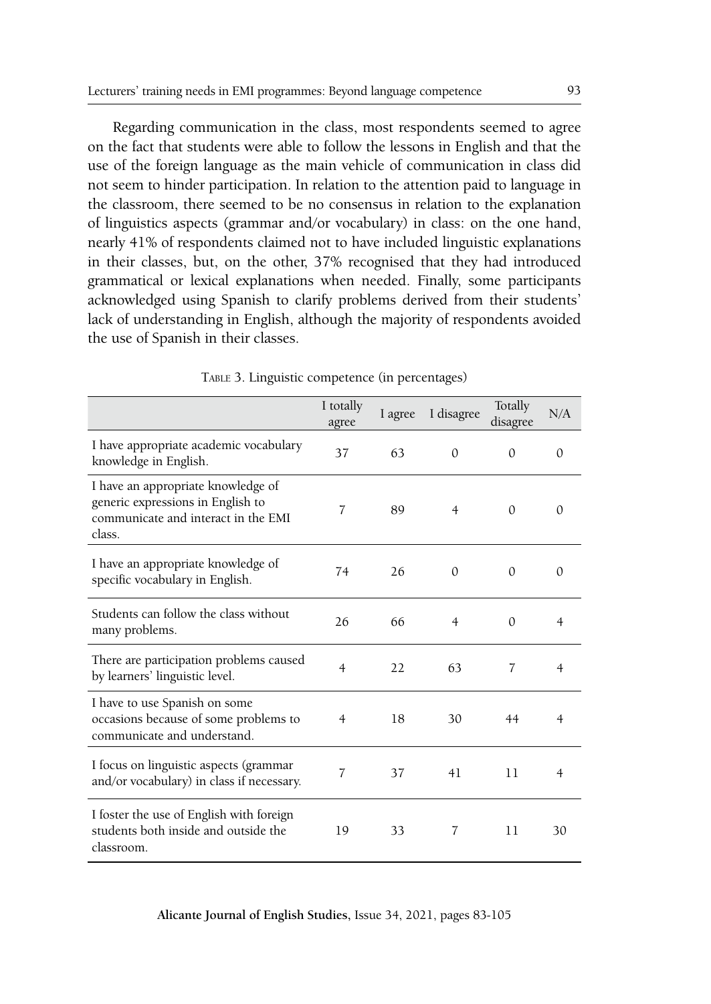Regarding communication in the class, most respondents seemed to agree on the fact that students were able to follow the lessons in English and that the use of the foreign language as the main vehicle of communication in class did not seem to hinder participation. In relation to the attention paid to language in the classroom, there seemed to be no consensus in relation to the explanation of linguistics aspects (grammar and/or vocabulary) in class: on the one hand, nearly 41% of respondents claimed not to have included linguistic explanations in their classes, but, on the other, 37% recognised that they had introduced grammatical or lexical explanations when needed. Finally, some participants acknowledged using Spanish to clarify problems derived from their students' lack of understanding in English, although the majority of respondents avoided the use of Spanish in their classes.

|                                                                                                                          | I totally<br>agree | I agree | I disagree     | Totally<br>disagree | N/A            |
|--------------------------------------------------------------------------------------------------------------------------|--------------------|---------|----------------|---------------------|----------------|
| I have appropriate academic vocabulary<br>knowledge in English.                                                          | 37                 | 63      | $\Omega$       | $\Omega$            | $\Omega$       |
| I have an appropriate knowledge of<br>generic expressions in English to<br>communicate and interact in the EMI<br>class. | 7                  | 89      | $\overline{4}$ | $\Omega$            | $\Omega$       |
| I have an appropriate knowledge of<br>specific vocabulary in English.                                                    | 74                 | 26      | $\Omega$       | $\Omega$            | $\Omega$       |
| Students can follow the class without<br>many problems.                                                                  | 26                 | 66      | 4              | $\Omega$            | $\overline{4}$ |
| There are participation problems caused<br>by learners' linguistic level.                                                | $\overline{4}$     | 22      | 63             | 7                   | $\overline{4}$ |
| I have to use Spanish on some<br>occasions because of some problems to<br>communicate and understand.                    | 4                  | 18      | 30             | 44                  | 4              |
| I focus on linguistic aspects (grammar<br>and/or vocabulary) in class if necessary.                                      | $\overline{7}$     | 37      | 41             | 11                  | $\overline{4}$ |
| I foster the use of English with foreign<br>students both inside and outside the<br>classroom.                           | 19                 | 33      | 7              | 11                  | 30             |

Table 3. Linguistic competence (in percentages)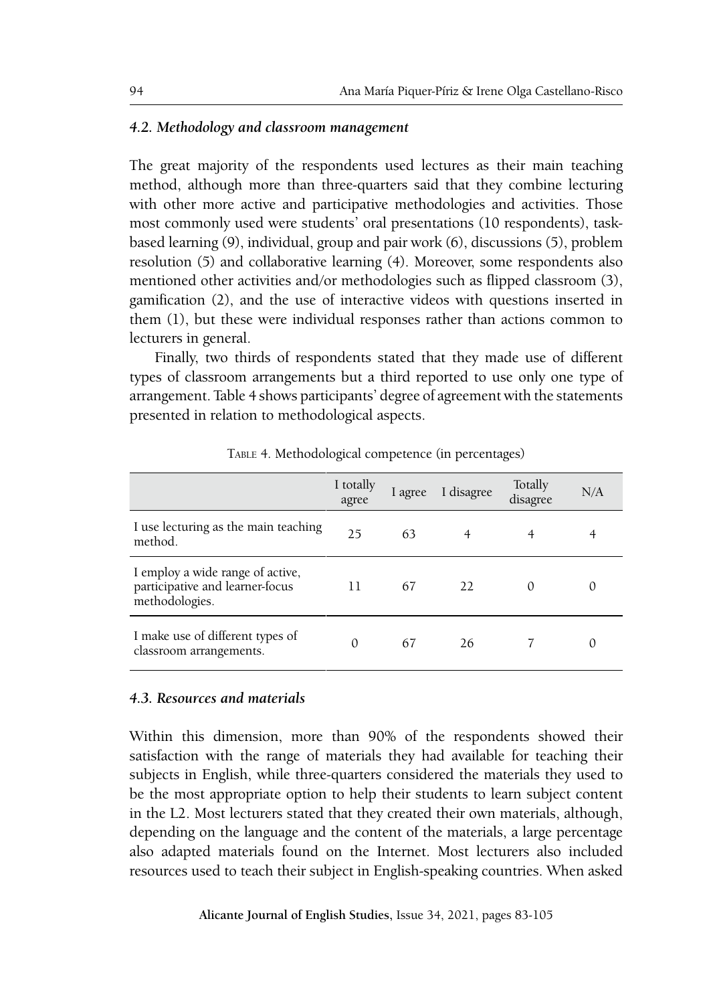#### *4.2. Methodology and classroom management*

The great majority of the respondents used lectures as their main teaching method, although more than three-quarters said that they combine lecturing with other more active and participative methodologies and activities. Those most commonly used were students' oral presentations (10 respondents), taskbased learning (9), individual, group and pair work (6), discussions (5), problem resolution (5) and collaborative learning (4). Moreover, some respondents also mentioned other activities and/or methodologies such as flipped classroom (3), gamification (2), and the use of interactive videos with questions inserted in them (1), but these were individual responses rather than actions common to lecturers in general.

Finally, two thirds of respondents stated that they made use of different types of classroom arrangements but a third reported to use only one type of arrangement. Table 4 shows participants' degree of agreement with the statements presented in relation to methodological aspects.

|                                                                                       | I totally<br>agree | l agree | I disagree | Totally<br>disagree | N/A |
|---------------------------------------------------------------------------------------|--------------------|---------|------------|---------------------|-----|
| I use lecturing as the main teaching<br>method.                                       | 25                 | 63      |            |                     |     |
| I employ a wide range of active,<br>participative and learner-focus<br>methodologies. | 11                 | 67      | 22         | $\left($            |     |
| I make use of different types of<br>classroom arrangements.                           | $\Omega$           | 67      | 26         |                     | 0   |

Table 4. Methodological competence (in percentages)

#### *4.3. Resources and materials*

Within this dimension, more than 90% of the respondents showed their satisfaction with the range of materials they had available for teaching their subjects in English, while three-quarters considered the materials they used to be the most appropriate option to help their students to learn subject content in the L2. Most lecturers stated that they created their own materials, although, depending on the language and the content of the materials, a large percentage also adapted materials found on the Internet. Most lecturers also included resources used to teach their subject in English-speaking countries. When asked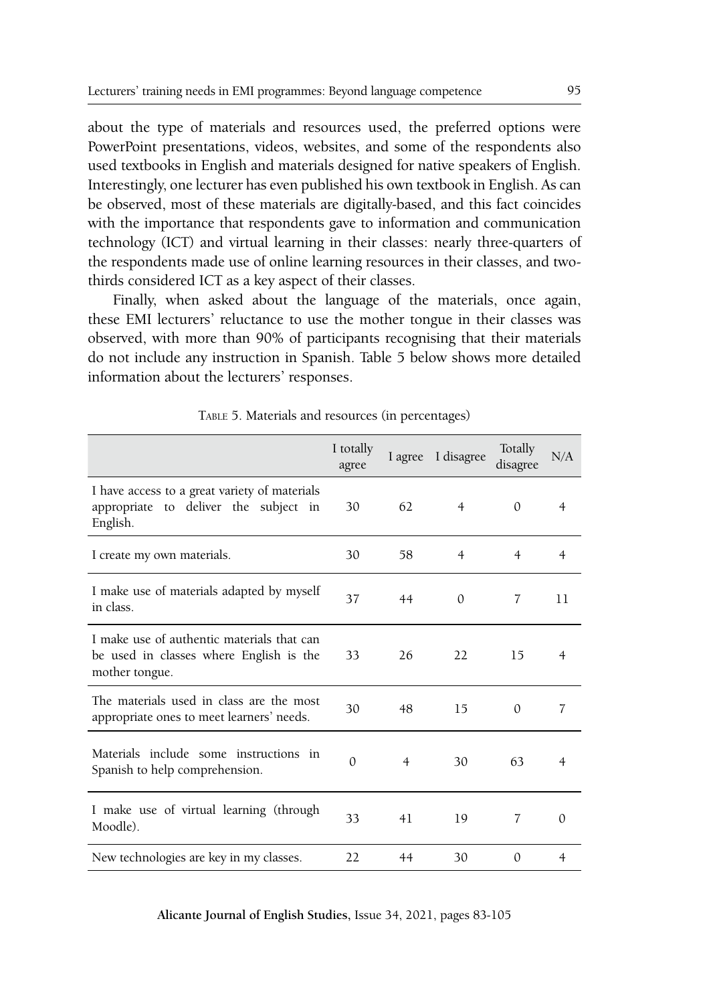about the type of materials and resources used, the preferred options were PowerPoint presentations, videos, websites, and some of the respondents also used textbooks in English and materials designed for native speakers of English. Interestingly, one lecturer has even published his own textbook in English. As can be observed, most of these materials are digitally-based, and this fact coincides with the importance that respondents gave to information and communication technology (ICT) and virtual learning in their classes: nearly three-quarters of the respondents made use of online learning resources in their classes, and twothirds considered ICT as a key aspect of their classes.

Finally, when asked about the language of the materials, once again, these EMI lecturers' reluctance to use the mother tongue in their classes was observed, with more than 90% of participants recognising that their materials do not include any instruction in Spanish. Table 5 below shows more detailed information about the lecturers' responses.

|                                                                                                         | I totally<br>agree |                | I agree I disagree | Totally<br>disagree | N/A            |
|---------------------------------------------------------------------------------------------------------|--------------------|----------------|--------------------|---------------------|----------------|
| I have access to a great variety of materials<br>appropriate to deliver the subject in<br>English.      | 30                 | 62             | $\overline{4}$     | $\Omega$            | 4              |
| I create my own materials.                                                                              | 30                 | 58             | $\overline{4}$     | $\overline{4}$      | $\overline{4}$ |
| I make use of materials adapted by myself<br>in class.                                                  | 37                 | 44             | $\Omega$           | 7                   | 11             |
| I make use of authentic materials that can<br>be used in classes where English is the<br>mother tongue. | 33                 | 26             | 22                 | 15                  | 4              |
| The materials used in class are the most<br>appropriate ones to meet learners' needs.                   | 30                 | 48             | 15                 | $\theta$            | 7              |
| Materials include some instructions in<br>Spanish to help comprehension.                                | $\Omega$           | $\overline{4}$ | 30                 | 63                  | 4              |
| I make use of virtual learning (through<br>Moodle).                                                     | 33                 | 41             | 19                 | 7                   | $\Omega$       |
| New technologies are key in my classes.                                                                 | 22                 | 44             | 30                 | $\mathbf{0}$        | $\overline{4}$ |

Table 5. Materials and resources (in percentages)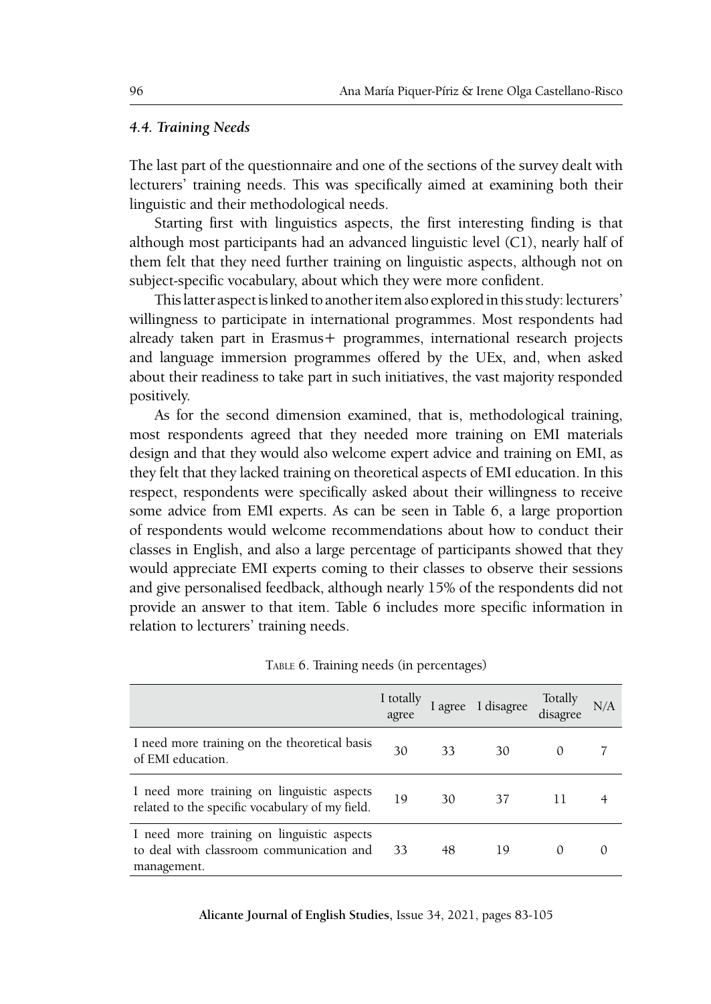#### *4.4. Training Needs*

The last part of the questionnaire and one of the sections of the survey dealt with lecturers' training needs. This was specifically aimed at examining both their linguistic and their methodological needs.

Starting first with linguistics aspects, the first interesting finding is that although most participants had an advanced linguistic level (C1), nearly half of them felt that they need further training on linguistic aspects, although not on subject-specific vocabulary, about which they were more confident.

This latter aspect is linked to another item also explored in this study: lecturers' willingness to participate in international programmes. Most respondents had already taken part in Erasmus+ programmes, international research projects and language immersion programmes offered by the UEx, and, when asked about their readiness to take part in such initiatives, the vast majority responded positively.

As for the second dimension examined, that is, methodological training, most respondents agreed that they needed more training on EMI materials design and that they would also welcome expert advice and training on EMI, as they felt that they lacked training on theoretical aspects of EMI education. In this respect, respondents were specifically asked about their willingness to receive some advice from EMI experts. As can be seen in Table 6, a large proportion of respondents would welcome recommendations about how to conduct their classes in English, and also a large percentage of participants showed that they would appreciate EMI experts coming to their classes to observe their sessions and give personalised feedback, although nearly 15% of the respondents did not provide an answer to that item. Table 6 includes more specific information in relation to lecturers' training needs.

|                                                                                                       | I totally<br>agree |    | I agree I disagree | Totally<br>disagree | N/A |
|-------------------------------------------------------------------------------------------------------|--------------------|----|--------------------|---------------------|-----|
| I need more training on the theoretical basis<br>of EMI education.                                    | 30                 | 33 | 30                 | $\theta$            |     |
| I need more training on linguistic aspects<br>related to the specific vocabulary of my field.         | 19                 | 30 | 37                 | 11                  |     |
| I need more training on linguistic aspects<br>to deal with classroom communication and<br>management. | 33                 | 48 | 19                 | 0                   |     |

Table 6. Training needs (in percentages)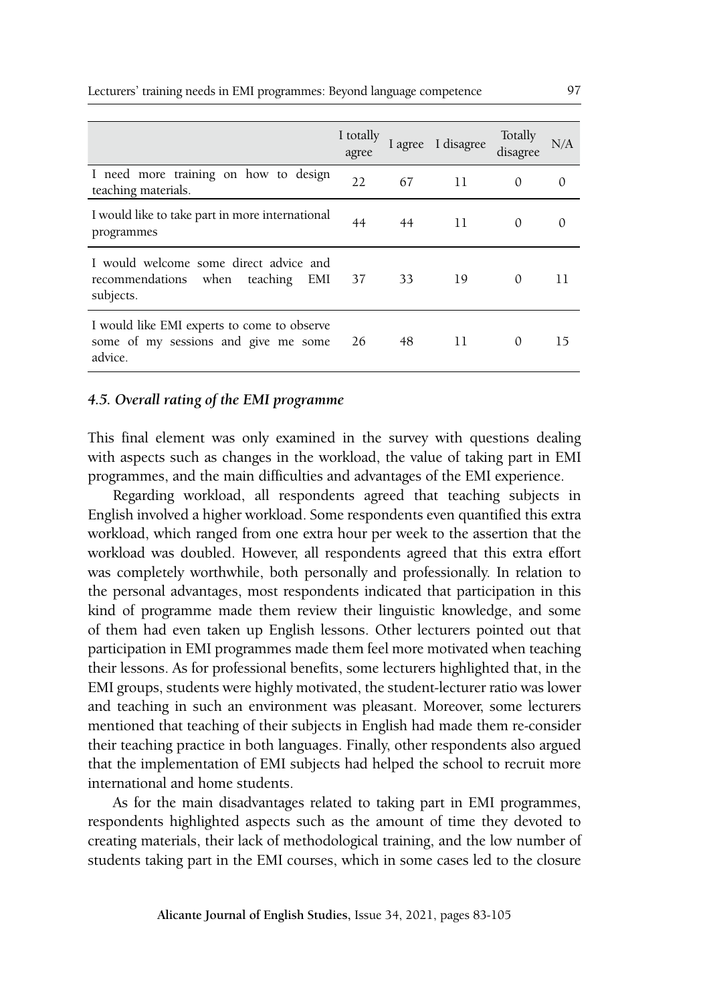|                                                                                                | I totally<br>agree |    | I agree I disagree | Totally<br>disagree | N/A      |
|------------------------------------------------------------------------------------------------|--------------------|----|--------------------|---------------------|----------|
| I need more training on how to design<br>teaching materials.                                   | 22                 | 67 | 11                 | $\Omega$            | $\Omega$ |
| I would like to take part in more international<br>programmes                                  | 44                 | 44 | 11                 | $\Omega$            | 0        |
| I would welcome some direct advice and<br>recommendations when<br>teaching<br>EMI<br>subjects. | 37                 | 33 | 19                 | $\Omega$            | 11       |
| I would like EMI experts to come to observe<br>some of my sessions and give me some<br>advice. | 26                 | 48 | 11                 | $\Omega$            | 15       |

#### *4.5. Overall rating of the EMI programme*

This final element was only examined in the survey with questions dealing with aspects such as changes in the workload, the value of taking part in EMI programmes, and the main difficulties and advantages of the EMI experience.

Regarding workload, all respondents agreed that teaching subjects in English involved a higher workload. Some respondents even quantified this extra workload, which ranged from one extra hour per week to the assertion that the workload was doubled. However, all respondents agreed that this extra effort was completely worthwhile, both personally and professionally. In relation to the personal advantages, most respondents indicated that participation in this kind of programme made them review their linguistic knowledge, and some of them had even taken up English lessons. Other lecturers pointed out that participation in EMI programmes made them feel more motivated when teaching their lessons. As for professional benefits, some lecturers highlighted that, in the EMI groups, students were highly motivated, the student-lecturer ratio was lower and teaching in such an environment was pleasant. Moreover, some lecturers mentioned that teaching of their subjects in English had made them re-consider their teaching practice in both languages. Finally, other respondents also argued that the implementation of EMI subjects had helped the school to recruit more international and home students.

As for the main disadvantages related to taking part in EMI programmes, respondents highlighted aspects such as the amount of time they devoted to creating materials, their lack of methodological training, and the low number of students taking part in the EMI courses, which in some cases led to the closure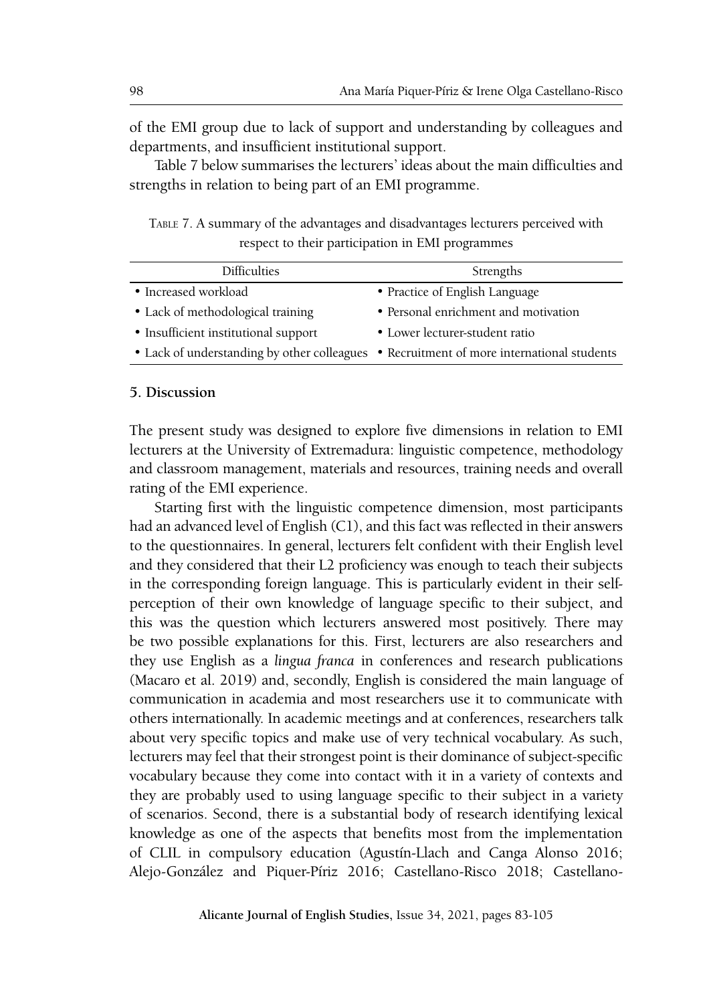of the EMI group due to lack of support and understanding by colleagues and departments, and insufficient institutional support.

Table 7 below summarises the lecturers' ideas about the main difficulties and strengths in relation to being part of an EMI programme.

Table 7. A summary of the advantages and disadvantages lecturers perceived with respect to their participation in EMI programmes

| <b>Difficulties</b>                  | Strengths                                                                                |  |  |  |
|--------------------------------------|------------------------------------------------------------------------------------------|--|--|--|
| • Increased workload                 | • Practice of English Language                                                           |  |  |  |
| • Lack of methodological training    | • Personal enrichment and motivation                                                     |  |  |  |
| • Insufficient institutional support | • Lower lecturer-student ratio                                                           |  |  |  |
|                                      | • Lack of understanding by other colleagues • Recruitment of more international students |  |  |  |
|                                      |                                                                                          |  |  |  |

#### **5. Discussion**

The present study was designed to explore five dimensions in relation to EMI lecturers at the University of Extremadura: linguistic competence, methodology and classroom management, materials and resources, training needs and overall rating of the EMI experience.

Starting first with the linguistic competence dimension, most participants had an advanced level of English (C1), and this fact was reflected in their answers to the questionnaires. In general, lecturers felt confident with their English level and they considered that their L2 proficiency was enough to teach their subjects in the corresponding foreign language. This is particularly evident in their selfperception of their own knowledge of language specific to their subject, and this was the question which lecturers answered most positively. There may be two possible explanations for this. First, lecturers are also researchers and they use English as a *lingua franca* in conferences and research publications (Macaro et al. 2019) and, secondly, English is considered the main language of communication in academia and most researchers use it to communicate with others internationally. In academic meetings and at conferences, researchers talk about very specific topics and make use of very technical vocabulary. As such, lecturers may feel that their strongest point is their dominance of subject-specific vocabulary because they come into contact with it in a variety of contexts and they are probably used to using language specific to their subject in a variety of scenarios. Second, there is a substantial body of research identifying lexical knowledge as one of the aspects that benefits most from the implementation of CLIL in compulsory education (Agustín-Llach and Canga Alonso 2016; Alejo-González and Piquer-Píriz 2016; Castellano-Risco 2018; Castellano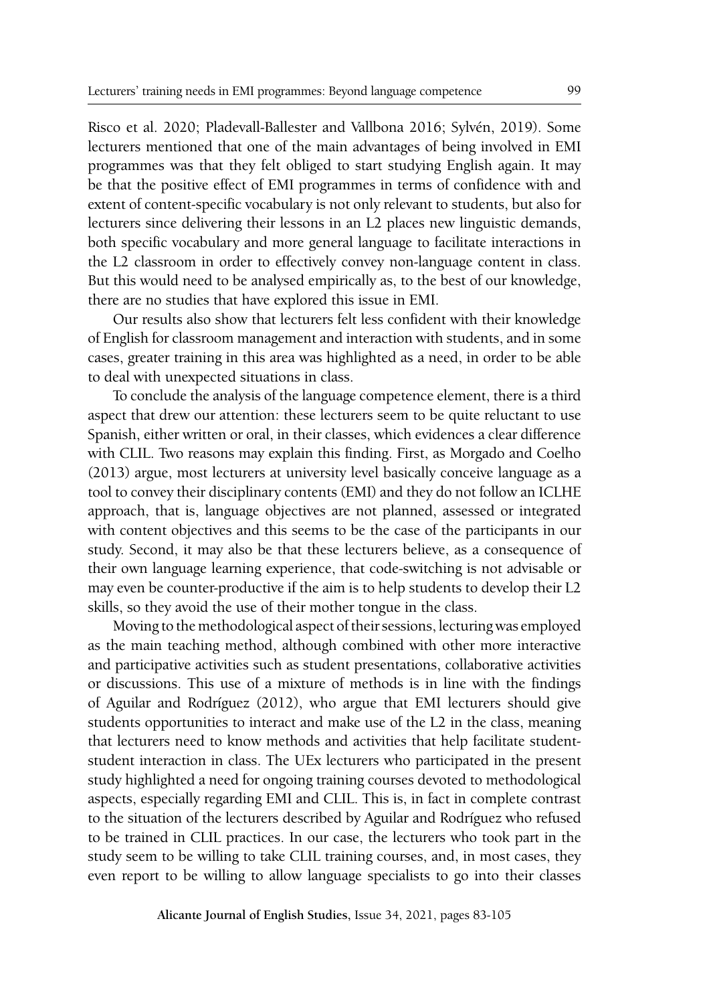Risco et al. 2020; Pladevall-Ballester and Vallbona 2016; Sylvén, 2019). Some lecturers mentioned that one of the main advantages of being involved in EMI programmes was that they felt obliged to start studying English again. It may be that the positive effect of EMI programmes in terms of confidence with and extent of content-specific vocabulary is not only relevant to students, but also for lecturers since delivering their lessons in an L2 places new linguistic demands, both specific vocabulary and more general language to facilitate interactions in the L2 classroom in order to effectively convey non-language content in class. But this would need to be analysed empirically as, to the best of our knowledge, there are no studies that have explored this issue in EMI.

Our results also show that lecturers felt less confident with their knowledge of English for classroom management and interaction with students, and in some cases, greater training in this area was highlighted as a need, in order to be able to deal with unexpected situations in class.

To conclude the analysis of the language competence element, there is a third aspect that drew our attention: these lecturers seem to be quite reluctant to use Spanish, either written or oral, in their classes, which evidences a clear difference with CLIL. Two reasons may explain this finding. First, as Morgado and Coelho (2013) argue, most lecturers at university level basically conceive language as a tool to convey their disciplinary contents (EMI) and they do not follow an ICLHE approach, that is, language objectives are not planned, assessed or integrated with content objectives and this seems to be the case of the participants in our study. Second, it may also be that these lecturers believe, as a consequence of their own language learning experience, that code-switching is not advisable or may even be counter-productive if the aim is to help students to develop their L2 skills, so they avoid the use of their mother tongue in the class.

Moving to the methodological aspect of their sessions, lecturing was employed as the main teaching method, although combined with other more interactive and participative activities such as student presentations, collaborative activities or discussions. This use of a mixture of methods is in line with the findings of Aguilar and Rodríguez (2012), who argue that EMI lecturers should give students opportunities to interact and make use of the L2 in the class, meaning that lecturers need to know methods and activities that help facilitate studentstudent interaction in class. The UEx lecturers who participated in the present study highlighted a need for ongoing training courses devoted to methodological aspects, especially regarding EMI and CLIL. This is, in fact in complete contrast to the situation of the lecturers described by Aguilar and Rodríguez who refused to be trained in CLIL practices. In our case, the lecturers who took part in the study seem to be willing to take CLIL training courses, and, in most cases, they even report to be willing to allow language specialists to go into their classes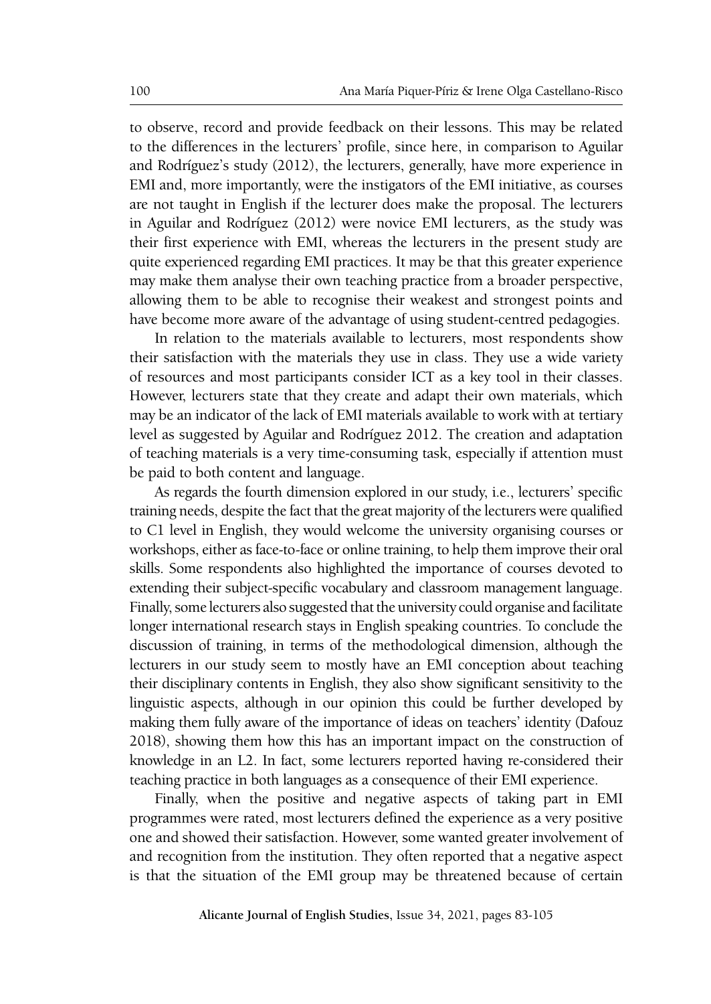to observe, record and provide feedback on their lessons. This may be related to the differences in the lecturers' profile, since here, in comparison to Aguilar and Rodríguez's study (2012), the lecturers, generally, have more experience in EMI and, more importantly, were the instigators of the EMI initiative, as courses are not taught in English if the lecturer does make the proposal. The lecturers in Aguilar and Rodríguez (2012) were novice EMI lecturers, as the study was their first experience with EMI, whereas the lecturers in the present study are quite experienced regarding EMI practices. It may be that this greater experience may make them analyse their own teaching practice from a broader perspective, allowing them to be able to recognise their weakest and strongest points and have become more aware of the advantage of using student-centred pedagogies.

In relation to the materials available to lecturers, most respondents show their satisfaction with the materials they use in class. They use a wide variety of resources and most participants consider ICT as a key tool in their classes. However, lecturers state that they create and adapt their own materials, which may be an indicator of the lack of EMI materials available to work with at tertiary level as suggested by Aguilar and Rodríguez 2012. The creation and adaptation of teaching materials is a very time-consuming task, especially if attention must be paid to both content and language.

As regards the fourth dimension explored in our study, i.e., lecturers' specific training needs, despite the fact that the great majority of the lecturers were qualified to C1 level in English, they would welcome the university organising courses or workshops, either as face-to-face or online training, to help them improve their oral skills. Some respondents also highlighted the importance of courses devoted to extending their subject-specific vocabulary and classroom management language. Finally, some lecturers also suggested that the university could organise and facilitate longer international research stays in English speaking countries. To conclude the discussion of training, in terms of the methodological dimension, although the lecturers in our study seem to mostly have an EMI conception about teaching their disciplinary contents in English, they also show significant sensitivity to the linguistic aspects, although in our opinion this could be further developed by making them fully aware of the importance of ideas on teachers' identity (Dafouz 2018), showing them how this has an important impact on the construction of knowledge in an L2. In fact, some lecturers reported having re-considered their teaching practice in both languages as a consequence of their EMI experience.

Finally, when the positive and negative aspects of taking part in EMI programmes were rated, most lecturers defined the experience as a very positive one and showed their satisfaction. However, some wanted greater involvement of and recognition from the institution. They often reported that a negative aspect is that the situation of the EMI group may be threatened because of certain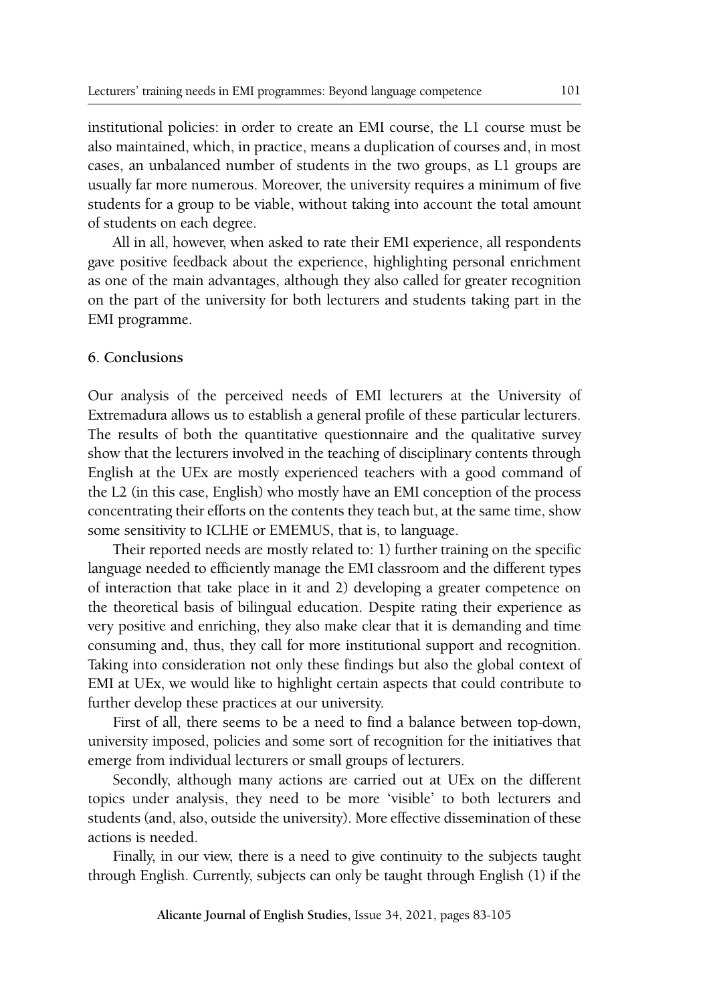institutional policies: in order to create an EMI course, the L1 course must be also maintained, which, in practice, means a duplication of courses and, in most cases, an unbalanced number of students in the two groups, as L1 groups are usually far more numerous. Moreover, the university requires a minimum of five students for a group to be viable, without taking into account the total amount of students on each degree.

All in all, however, when asked to rate their EMI experience, all respondents gave positive feedback about the experience, highlighting personal enrichment as one of the main advantages, although they also called for greater recognition on the part of the university for both lecturers and students taking part in the EMI programme.

#### **6. Conclusions**

Our analysis of the perceived needs of EMI lecturers at the University of Extremadura allows us to establish a general profile of these particular lecturers. The results of both the quantitative questionnaire and the qualitative survey show that the lecturers involved in the teaching of disciplinary contents through English at the UEx are mostly experienced teachers with a good command of the L2 (in this case, English) who mostly have an EMI conception of the process concentrating their efforts on the contents they teach but, at the same time, show some sensitivity to ICLHE or EMEMUS, that is, to language.

Their reported needs are mostly related to: 1) further training on the specific language needed to efficiently manage the EMI classroom and the different types of interaction that take place in it and 2) developing a greater competence on the theoretical basis of bilingual education. Despite rating their experience as very positive and enriching, they also make clear that it is demanding and time consuming and, thus, they call for more institutional support and recognition. Taking into consideration not only these findings but also the global context of EMI at UEx, we would like to highlight certain aspects that could contribute to further develop these practices at our university.

First of all, there seems to be a need to find a balance between top-down, university imposed, policies and some sort of recognition for the initiatives that emerge from individual lecturers or small groups of lecturers.

Secondly, although many actions are carried out at UEx on the different topics under analysis, they need to be more 'visible' to both lecturers and students (and, also, outside the university). More effective dissemination of these actions is needed.

Finally, in our view, there is a need to give continuity to the subjects taught through English. Currently, subjects can only be taught through English (1) if the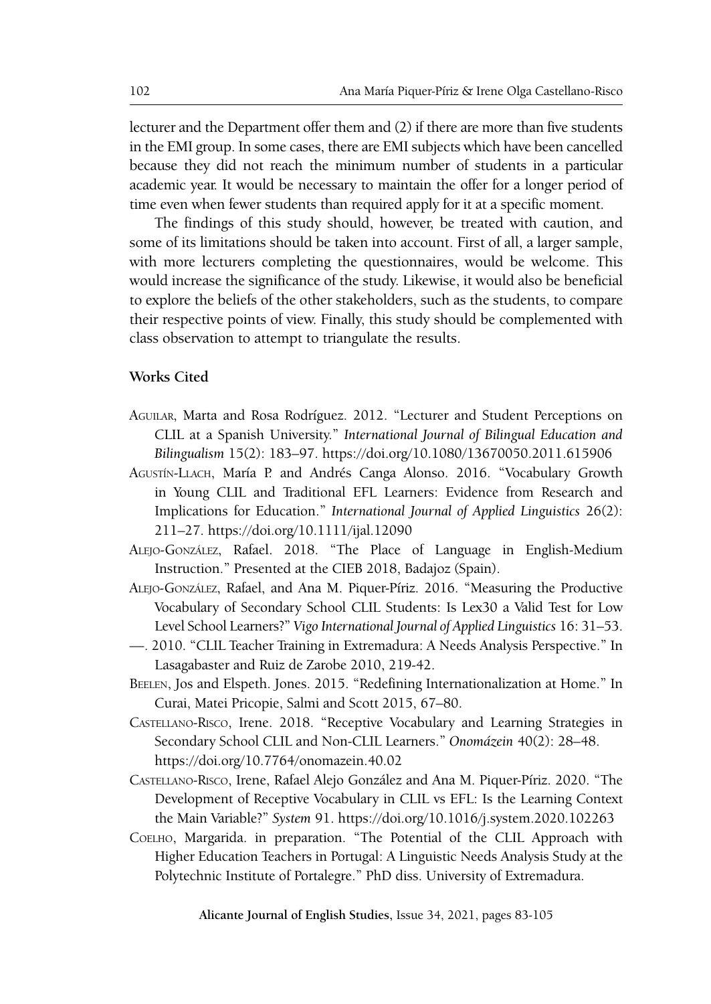lecturer and the Department offer them and (2) if there are more than five students in the EMI group. In some cases, there are EMI subjects which have been cancelled because they did not reach the minimum number of students in a particular academic year. It would be necessary to maintain the offer for a longer period of time even when fewer students than required apply for it at a specific moment.

The findings of this study should, however, be treated with caution, and some of its limitations should be taken into account. First of all, a larger sample, with more lecturers completing the questionnaires, would be welcome. This would increase the significance of the study. Likewise, it would also be beneficial to explore the beliefs of the other stakeholders, such as the students, to compare their respective points of view. Finally, this study should be complemented with class observation to attempt to triangulate the results.

#### **Works Cited**

- Aguilar, Marta and Rosa Rodríguez. 2012. "Lecturer and Student Perceptions on CLIL at a Spanish University." *International Journal of Bilingual Education and Bilingualism* 15(2): 183–97.<https://doi.org/10.1080/13670050.2011.615906>
- Agustín-Llach, María P. and Andrés Canga Alonso. 2016. "Vocabulary Growth in Young CLIL and Traditional EFL Learners: Evidence from Research and Implications for Education." *International Journal of Applied Linguistics* 26(2): 211–27.<https://doi.org/10.1111/ijal.12090>
- Alejo-González, Rafael. 2018. "The Place of Language in English-Medium Instruction." Presented at the CIEB 2018, Badajoz (Spain).
- Alejo-González, Rafael, and Ana M. Piquer-Píriz. 2016. "Measuring the Productive Vocabulary of Secondary School CLIL Students: Is Lex30 a Valid Test for Low Level School Learners?" *Vigo International Journal of Applied Linguistics* 16: 31–53.
- —. 2010. "CLIL Teacher Training in Extremadura: A Needs Analysis Perspective." In Lasagabaster and Ruiz de Zarobe 2010, 219-42.
- Beelen, Jos and Elspeth. Jones. 2015. "Redefining Internationalization at Home." In Curai, Matei Pricopie, Salmi and Scott 2015, 67–80.
- Castellano-Risco, Irene. 2018. "Receptive Vocabulary and Learning Strategies in Secondary School CLIL and Non-CLIL Learners." *Onomázein* 40(2): 28–48. https://doi.org/10.7764/onomazein.40.02
- Castellano-Risco, Irene, Rafael Alejo González and Ana M. Piquer-Píriz. 2020. "The Development of Receptive Vocabulary in CLIL vs EFL: Is the Learning Context the Main Variable?" *System* 91.<https://doi.org/10.1016/j.system.2020.102263>
- Coelho, Margarida. in preparation. "The Potential of the CLIL Approach with Higher Education Teachers in Portugal: A Linguistic Needs Analysis Study at the Polytechnic Institute of Portalegre." PhD diss. University of Extremadura.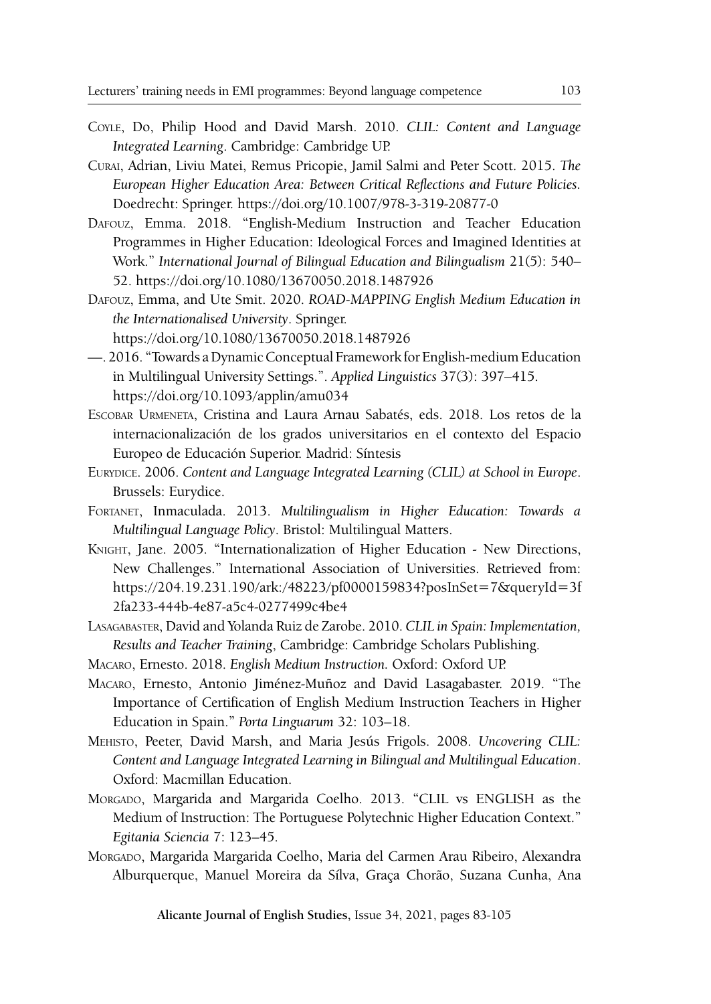- Coyle, Do, Philip Hood and David Marsh. 2010. *CLIL: Content and Language Integrated Learning*. Cambridge: Cambridge UP.
- Curai, Adrian, Liviu Matei, Remus Pricopie, Jamil Salmi and Peter Scott. 2015. *The European Higher Education Area: Between Critical Reflections and Future Policies.*  Doedrecht: Springer.<https://doi.org/10.1007/978-3-319-20877-0>
- Dafouz, Emma. 2018. "English-Medium Instruction and Teacher Education Programmes in Higher Education: Ideological Forces and Imagined Identities at Work." *International Journal of Bilingual Education and Bilingualism* 21(5): 540– 52.<https://doi.org/10.1080/13670050.2018.1487926>
- Dafouz, Emma, and Ute Smit. 2020. *ROAD-MAPPING English Medium Education in the Internationalised University*. Springer. https://doi.org/10.1080/13670050.2018.1487926
- —. 2016. "Towards a Dynamic Conceptual Framework for English-medium Education in Multilingual University Settings.". *Applied Linguistics* 37(3): 397–415. https://doi.org/10.1093/applin/amu034
- Escobar Urmeneta, Cristina and Laura Arnau Sabatés, eds. 2018. Los retos de la internacionalización de los grados universitarios en el contexto del Espacio Europeo de Educación Superior. Madrid: Síntesis
- Eurydice. 2006. *Content and Language Integrated Learning (CLIL) at School in Europe*. Brussels: Eurydice.
- Fortanet, Inmaculada. 2013. *Multilingualism in Higher Education: Towards a Multilingual Language Policy*. Bristol: Multilingual Matters.
- Knight, Jane. 2005. "Internationalization of Higher Education New Directions, New Challenges." International Association of Universities. Retrieved from: https://204.19.231.190/ark:/48223/pf0000159834?posInSet=7&queryId=3f 2fa233-444b-4e87-a5c4-0277499c4be4
- Lasagabaster, David and Yolanda Ruiz de Zarobe. 2010. *CLIL in Spain: Implementation, Results and Teacher Training*, Cambridge: Cambridge Scholars Publishing.
- Macaro, Ernesto. 2018. *English Medium Instruction.* Oxford: Oxford UP.
- Macaro, Ernesto, Antonio Jiménez-Muñoz and David Lasagabaster. 2019. "The Importance of Certification of English Medium Instruction Teachers in Higher Education in Spain." *Porta Linguarum* 32: 103–18.
- Mehisto, Peeter, David Marsh, and Maria Jesús Frigols. 2008. *Uncovering CLIL: Content and Language Integrated Learning in Bilingual and Multilingual Education*. Oxford: Macmillan Education.
- Morgado, Margarida and Margarida Coelho. 2013. "CLIL vs ENGLISH as the Medium of Instruction: The Portuguese Polytechnic Higher Education Context." *Egitania Sciencia* 7: 123–45.
- Morgado, Margarida Margarida Coelho, Maria del Carmen Arau Ribeiro, Alexandra Alburquerque, Manuel Moreira da Sílva, Graça Chorão, Suzana Cunha, Ana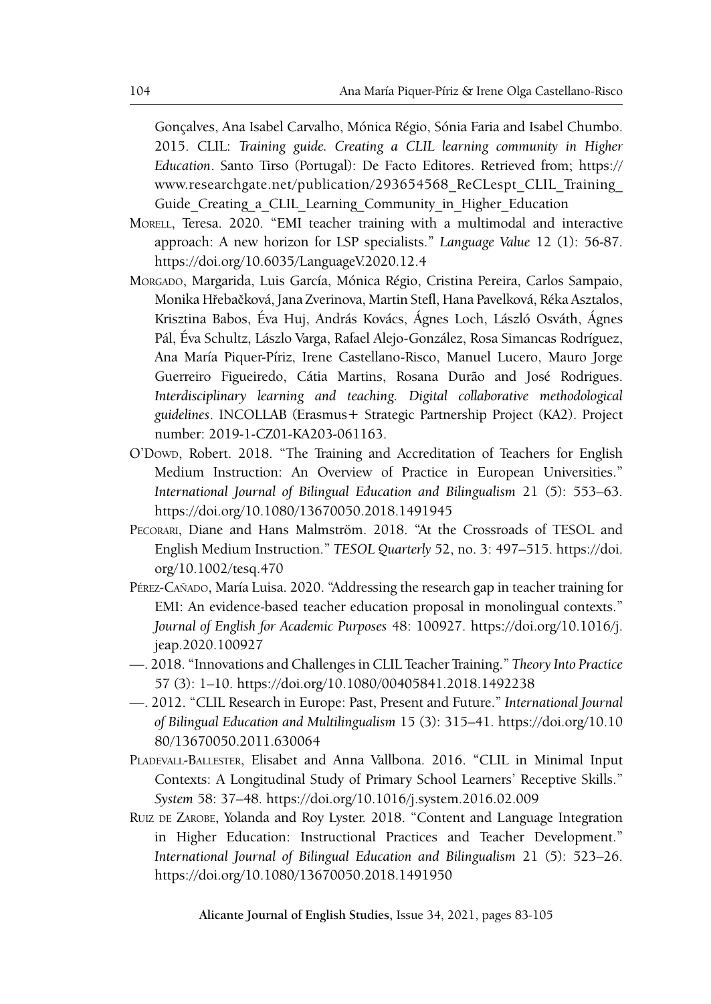Gonçalves, Ana Isabel Carvalho, Mónica Régio, Sónia Faria and Isabel Chumbo. 2015. CLIL: *Training guide. Creating a CLIL learning community in Higher Education*. Santo Tirso (Portugal): De Facto Editores. Retrieved from; https:// www.researchgate.net/publication/293654568\_ReCLespt\_CLIL\_Training\_ Guide Creating a CLIL Learning Community in Higher Education

- Morell, Teresa. 2020. "EMI teacher training with a multimodal and interactive approach: A new horizon for LSP specialists." *Language Value* 12 (1): 56-87. https://doi.org/10.6035/LanguageV.2020.12.4
- Morgado, Margarida, Luis García, Mónica Régio, Cristina Pereira, Carlos Sampaio, Monika Hřebačková, Jana Zverinova, Martin Stefl, Hana Pavelková, Réka Asztalos, Krisztina Babos, Éva Huj, András Kovács, Ágnes Loch, László Osváth, Ágnes Pál, Éva Schultz, Lászlo Varga, Rafael Alejo-González, Rosa Simancas Rodríguez, Ana María Piquer-Píriz, Irene Castellano-Risco, Manuel Lucero, Mauro Jorge Guerreiro Figueiredo, Cátia Martins, Rosana Durão and José Rodrigues. *Interdisciplinary learning and teaching. Digital collaborative methodological guidelines*. INCOLLAB (Erasmus+ Strategic Partnership Project (KA2). Project number: 2019-1-CZ01-KA203-061163.
- O'Dowd, Robert. 2018. "The Training and Accreditation of Teachers for English Medium Instruction: An Overview of Practice in European Universities." *International Journal of Bilingual Education and Bilingualism* 21 (5): 553–63. https://doi.org/10.1080/13670050.2018.1491945
- Pecorari, Diane and Hans Malmström. 2018. "At the Crossroads of TESOL and English Medium Instruction." *TESOL Quarterly* 52, no. 3: 497–515. https://doi. org/10.1002/tesq.470
- Pérez-Cañado, María Luisa. 2020. "Addressing the research gap in teacher training for EMI: An evidence-based teacher education proposal in monolingual contexts." *Journal of English for Academic Purposes* 48: 100927. https://doi.org/10.1016/j. jeap.2020.100927
- —. 2018. "Innovations and Challenges in CLIL Teacher Training." *Theory Into Practice* 57 (3): 1–10. <https://doi.org/10.1080/00405841.2018.1492238>
- —. 2012. "CLIL Research in Europe: Past, Present and Future." *International Journal of Bilingual Education and Multilingualism* 15 (3): 315–41. https://doi.org/10.10 80/13670050.2011.630064
- Pladevall-Ballester, Elisabet and Anna Vallbona. 2016. "CLIL in Minimal Input Contexts: A Longitudinal Study of Primary School Learners' Receptive Skills." *System* 58: 37–48. <https://doi.org/10.1016/j.system.2016.02.009>
- RUIZ DE ZAROBE, Yolanda and Roy Lyster. 2018. "Content and Language Integration in Higher Education: Instructional Practices and Teacher Development." *International Journal of Bilingual Education and Bilingualism* 21 (5): 523–26. https://doi.org/10.1080/13670050.2018.1491950